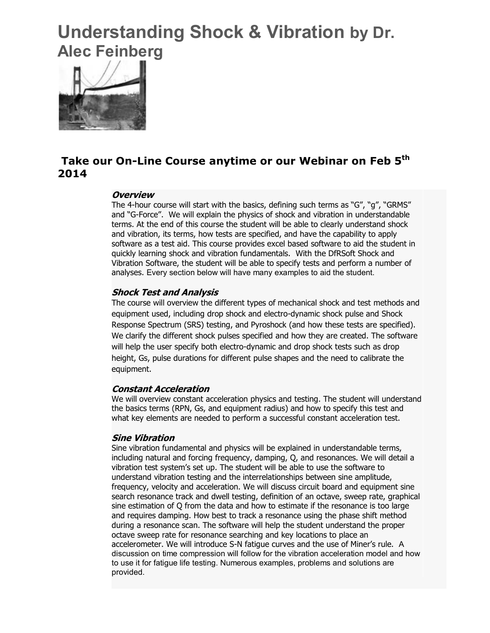# **Understanding Shock & Vibration by Dr. Alec Feinberg**



## **Take our On-Line Course anytime or our Webinar on Feb 5th 2014**

#### **Overview**

The 4-hour course will start with the basics, defining such terms as "G", "g", "GRMS" and "G-Force". We will explain the physics of shock and vibration in understandable terms. At the end of this course the student will be able to clearly understand shock and vibration, its terms, how tests are specified, and have the capability to apply software as a test aid. This course provides excel based software to aid the student in quickly learning shock and vibration fundamentals. With the DfRSoft Shock and Vibration Software, the student will be able to specify tests and perform a number of analyses. Every section below will have many examples to aid the student.

#### **Shock Test and Analysis**

The course will overview the different types of mechanical shock and test methods and equipment used, including drop shock and electro-dynamic shock pulse and Shock Response Spectrum (SRS) testing, and Pyroshock (and how these tests are specified). We clarify the different shock pulses specified and how they are created. The software will help the user specify both electro-dynamic and drop shock tests such as drop height, Gs, pulse durations for different pulse shapes and the need to calibrate the equipment.

#### **Constant Acceleration**

We will overview constant acceleration physics and testing. The student will understand the basics terms (RPN, Gs, and equipment radius) and how to specify this test and what key elements are needed to perform a successful constant acceleration test.

#### **Sine Vibration**

Sine vibration fundamental and physics will be explained in understandable terms, including natural and forcing frequency, damping, Q, and resonances. We will detail a vibration test system's set up. The student will be able to use the software to understand vibration testing and the interrelationships between sine amplitude, frequency, velocity and acceleration. We will discuss circuit board and equipment sine search resonance track and dwell testing, definition of an octave, sweep rate, graphical sine estimation of Q from the data and how to estimate if the resonance is too large and requires damping. How best to track a resonance using the phase shift method during a resonance scan. The software will help the student understand the proper octave sweep rate for resonance searching and key locations to place an accelerometer. We will introduce S-N fatigue curves and the use of Miner's rule. A discussion on time compression will follow for the vibration acceleration model and how to use it for fatigue life testing. Numerous examples, problems and solutions are provided.